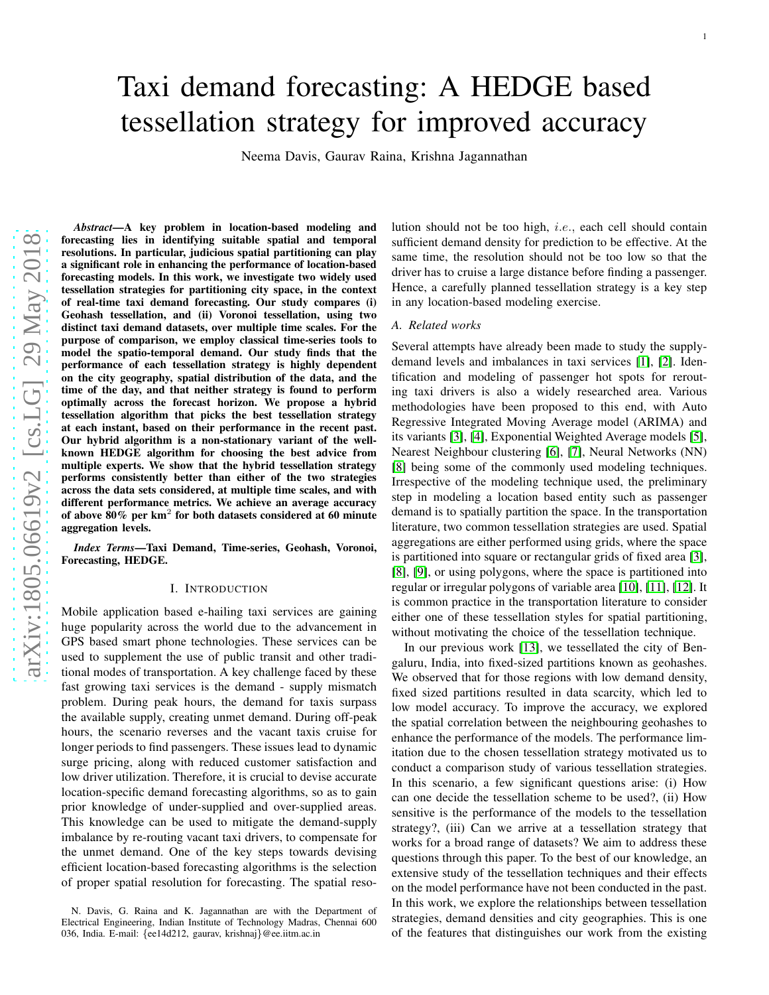# Taxi demand forecasting: A HEDGE based tessellation strategy for improved accuracy

Neema Davis, Gaurav Raina, Krishna Jagannathan

*Abstract*—A key problem in location-based modeling and forecasting lies in identifying suitable spatial and temporal resolutions. In particular, judicious spatial partitioning can play a significant role in enhancing the performance of location-based forecasting models. In this work, we investigate two widely used tessellation strategies for partitioning city space, in the context of real-time taxi demand forecasting. Our study compares (i ) Geohash tessellation, and (ii) Voronoi tessellation, using two distinct taxi demand datasets, over multiple time scales. For the purpose of comparison, we employ classical time-series tools to model the spatio-temporal demand. Our study finds that the performance of each tessellation strategy is highly dependent on the city geography, spatial distribution of the data, and the time of the day, and that neither strategy is found to perform optimally across the forecast horizon. We propose a hybrid tessellation algorithm that picks the best tessellation strategy at each instant, based on their performance in the recent past. Our hybrid algorithm is a non-stationary variant of the well known HEDGE algorithm for choosing the best advice from multiple experts. We show that the hybrid tessellation strategy performs consistently better than either of the two strategies across the data sets considered, at multiple time scales, and with different performance metrics. We achieve an average accuracy of above 80% per km 2 for both datasets considered at 60 minute aggregation levels.

*Index Terms*—Taxi Demand, Time-series, Geohash, Voronoi, Forecasting, HEDGE.

#### I. INTRODUCTION

Mobile application based e-hailing taxi services are gaining huge popularity across the world due to the advancement in GPS based smart phone technologies. These services can be used to supplement the use of public transit and other traditional modes of transportation. A key challenge faced by these fast growing taxi services is the demand - supply mismatch problem. During peak hours, the demand for taxis surpass the available supply, creating unmet demand. During off-peak hours, the scenario reverses and the vacant taxis cruise for longer periods to find passengers. These issues lead to dynamic surge pricing, along with reduced customer satisfaction an d low driver utilization. Therefore, it is crucial to devise accurate location-specific demand forecasting algorithms, so as to gain prior knowledge of under-supplied and over-supplied areas . This knowledge can be used to mitigate the demand-supply imbalance by re-routing vacant taxi drivers, to compensate for the unmet demand. One of the key steps towards devising efficient location-based forecasting algorithms is the selection of proper spatial resolution for forecasting. The spatial resolution should not be too high, i.e., each cell should contain sufficient demand density for prediction to be effective. At the same time, the resolution should not be too low so that the driver has to cruise a large distance before finding a passenger. Hence, a carefully planned tessellation strategy is a key step in any location-based modeling exercise.

### *A. Related works*

Several attempts have already been made to study the supplydemand levels and imbalances in taxi services [\[1\]](#page-10-0), [\[2\]](#page-10-1). Identification and modeling of passenger hot spots for rerouting taxi drivers is also a widely researched area. Various methodologies have been proposed to this end, with Auto Regressive Integrated Moving Average model (ARIMA) and its variants [\[3\]](#page-10-2), [\[4\]](#page-10-3), Exponential Weighted Average models [\[5\]](#page-10-4), Nearest Neighbour clustering [\[6\]](#page-10-5), [\[7\]](#page-10-6), Neural Networks (NN ) [\[8\]](#page-10-7) being some of the commonly used modeling techniques. Irrespective of the modeling technique used, the preliminary step in modeling a location based entity such as passenger demand is to spatially partition the space. In the transportation literature, two common tessellation strategies are used. Spatial aggregations are either performed using grids, where the space is partitioned into square or rectangular grids of fixed area [\[3\]](#page-10-2), [\[8\]](#page-10-7), [\[9\]](#page-10-8), or using polygons, where the space is partitioned into regular or irregular polygons of variable area [\[10\]](#page-10-9), [\[11\]](#page-10-10), [\[12\]](#page-10-11). It is common practice in the transportation literature to consider either one of these tessellation styles for spatial partitioning, without motivating the choice of the tessellation technique.

In our previous work [\[13\]](#page-10-12), we tessellated the city of Bengaluru, India, into fixed-sized partitions known as geohashes. We observed that for those regions with low demand density, fixed sized partitions resulted in data scarcity, which led to low model accuracy. To improve the accuracy, we explored the spatial correlation between the neighbouring geohashes to enhance the performance of the models. The performance limitation due to the chosen tessellation strategy motivated us to conduct a comparison study of various tessellation strategies. In this scenario, a few significant questions arise: (i) How can one decide the tessellation scheme to be used?, (ii) How sensitive is the performance of the models to the tessellation strategy?, (iii) Can we arrive at a tessellation strategy that works for a broad range of datasets? We aim to address these questions through this paper. To the best of our knowledge, a n extensive study of the tessellation techniques and their effects on the model performance have not been conducted in the past. In this work, we explore the relationships between tessellation strategies, demand densities and city geographies. This is one of the features that distinguishes our work from the existin g

N. Davis, G. Raina and K. Jagannathan are with the Department of Electrical Engineering, Indian Institute of Technology Madras, Chennai 600 036, India. E-mail: {ee14d212, gaurav, krishnaj }@ee.iitm.ac.in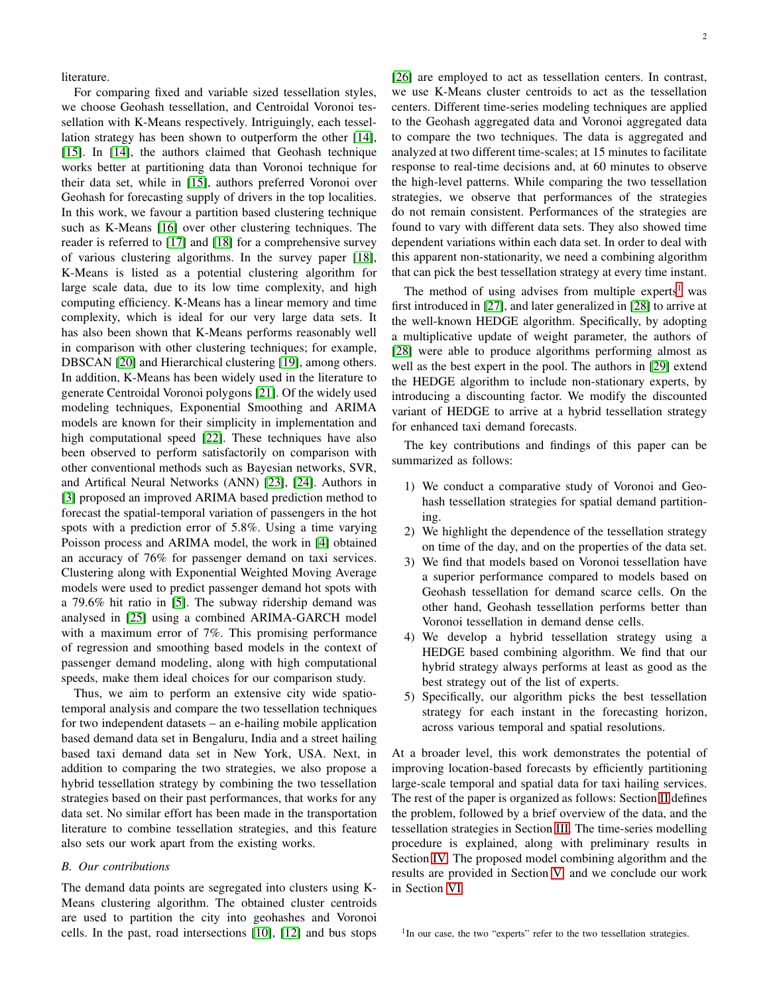literature.

For comparing fixed and variable sized tessellation styles, we choose Geohash tessellation, and Centroidal Voronoi tessellation with K-Means respectively. Intriguingly, each tessellation strategy has been shown to outperform the other [\[14\]](#page-10-13), [\[15\]](#page-10-14). In [\[14\]](#page-10-13), the authors claimed that Geohash technique works better at partitioning data than Voronoi technique for their data set, while in [\[15\]](#page-10-14), authors preferred Voronoi over Geohash for forecasting supply of drivers in the top localities. In this work, we favour a partition based clustering technique such as K-Means [\[16\]](#page-10-15) over other clustering techniques. The reader is referred to [\[17\]](#page-10-16) and [\[18\]](#page-10-17) for a comprehensive survey of various clustering algorithms. In the survey paper [\[18\]](#page-10-17), K-Means is listed as a potential clustering algorithm for large scale data, due to its low time complexity, and high computing efficiency. K-Means has a linear memory and time complexity, which is ideal for our very large data sets. It has also been shown that K-Means performs reasonably well in comparison with other clustering techniques; for example, DBSCAN [\[20\]](#page-10-18) and Hierarchical clustering [\[19\]](#page-10-19), among others. In addition, K-Means has been widely used in the literature to generate Centroidal Voronoi polygons [\[21\]](#page-10-20). Of the widely used modeling techniques, Exponential Smoothing and ARIMA models are known for their simplicity in implementation and high computational speed [\[22\]](#page-10-21). These techniques have also been observed to perform satisfactorily on comparison with other conventional methods such as Bayesian networks, SVR, and Artifical Neural Networks (ANN) [\[23\]](#page-11-0), [\[24\]](#page-11-1). Authors in [\[3\]](#page-10-2) proposed an improved ARIMA based prediction method to forecast the spatial-temporal variation of passengers in the hot spots with a prediction error of 5.8%. Using a time varying Poisson process and ARIMA model, the work in [\[4\]](#page-10-3) obtained an accuracy of 76% for passenger demand on taxi services. Clustering along with Exponential Weighted Moving Average models were used to predict passenger demand hot spots with a 79.6% hit ratio in [\[5\]](#page-10-4). The subway ridership demand was analysed in [\[25\]](#page-11-2) using a combined ARIMA-GARCH model with a maximum error of 7%. This promising performance of regression and smoothing based models in the context of passenger demand modeling, along with high computational speeds, make them ideal choices for our comparison study.

Thus, we aim to perform an extensive city wide spatiotemporal analysis and compare the two tessellation techniques for two independent datasets – an e-hailing mobile application based demand data set in Bengaluru, India and a street hailing based taxi demand data set in New York, USA. Next, in addition to comparing the two strategies, we also propose a hybrid tessellation strategy by combining the two tessellation strategies based on their past performances, that works for any data set. No similar effort has been made in the transportation literature to combine tessellation strategies, and this feature also sets our work apart from the existing works.

#### *B. Our contributions*

The demand data points are segregated into clusters using K-Means clustering algorithm. The obtained cluster centroids are used to partition the city into geohashes and Voronoi cells. In the past, road intersections [\[10\]](#page-10-9), [\[12\]](#page-10-11) and bus stops

2

[\[26\]](#page-11-3) are employed to act as tessellation centers. In contrast, we use K-Means cluster centroids to act as the tessellation centers. Different time-series modeling techniques are applied to the Geohash aggregated data and Voronoi aggregated data to compare the two techniques. The data is aggregated and analyzed at two different time-scales; at 15 minutes to facilitate response to real-time decisions and, at 60 minutes to observe the high-level patterns. While comparing the two tessellation strategies, we observe that performances of the strategies do not remain consistent. Performances of the strategies are found to vary with different data sets. They also showed time dependent variations within each data set. In order to deal with this apparent non-stationarity, we need a combining algorithm that can pick the best tessellation strategy at every time instant.

The method of using advises from multiple experts<sup>[1](#page-1-0)</sup> was first introduced in [\[27\]](#page-11-4), and later generalized in [\[28\]](#page-11-5) to arrive at the well-known HEDGE algorithm. Specifically, by adopting a multiplicative update of weight parameter, the authors of [\[28\]](#page-11-5) were able to produce algorithms performing almost as well as the best expert in the pool. The authors in [\[29\]](#page-11-6) extend the HEDGE algorithm to include non-stationary experts, by introducing a discounting factor. We modify the discounted variant of HEDGE to arrive at a hybrid tessellation strategy for enhanced taxi demand forecasts.

The key contributions and findings of this paper can be summarized as follows:

- 1) We conduct a comparative study of Voronoi and Geohash tessellation strategies for spatial demand partitioning.
- 2) We highlight the dependence of the tessellation strategy on time of the day, and on the properties of the data set.
- 3) We find that models based on Voronoi tessellation have a superior performance compared to models based on Geohash tessellation for demand scarce cells. On the other hand, Geohash tessellation performs better than Voronoi tessellation in demand dense cells.
- 4) We develop a hybrid tessellation strategy using a HEDGE based combining algorithm. We find that our hybrid strategy always performs at least as good as the best strategy out of the list of experts.
- 5) Specifically, our algorithm picks the best tessellation strategy for each instant in the forecasting horizon, across various temporal and spatial resolutions.

At a broader level, this work demonstrates the potential of improving location-based forecasts by efficiently partitioning large-scale temporal and spatial data for taxi hailing services. The rest of the paper is organized as follows: Section [II](#page-2-0) defines the problem, followed by a brief overview of the data, and the tessellation strategies in Section [III.](#page-2-1) The time-series modelling procedure is explained, along with preliminary results in Section [IV.](#page-4-0) The proposed model combining algorithm and the results are provided in Section [V,](#page-6-0) and we conclude our work in Section [VI.](#page-8-0)

<span id="page-1-0"></span><sup>&</sup>lt;sup>1</sup>In our case, the two "experts" refer to the two tessellation strategies.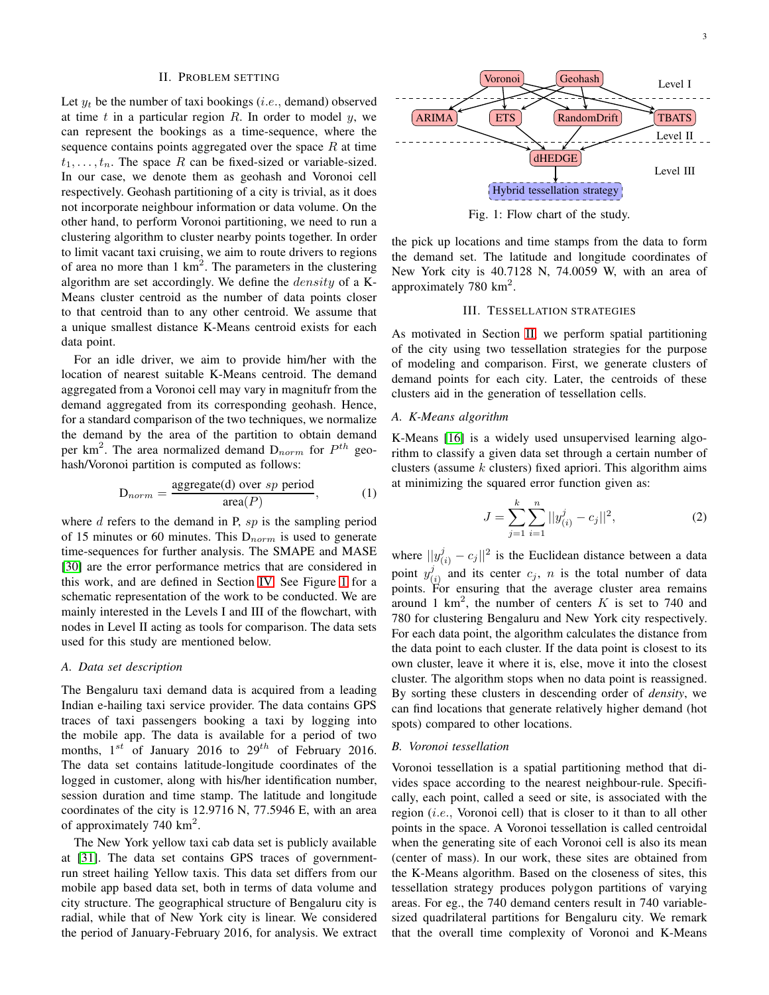## II. PROBLEM SETTING

<span id="page-2-0"></span>Let  $y_t$  be the number of taxi bookings (*i.e.*, demand) observed at time  $t$  in a particular region  $R$ . In order to model  $y$ , we can represent the bookings as a time-sequence, where the sequence contains points aggregated over the space  $R$  at time  $t_1, \ldots, t_n$ . The space R can be fixed-sized or variable-sized. In our case, we denote them as geohash and Voronoi cell respectively. Geohash partitioning of a city is trivial, as it does not incorporate neighbour information or data volume. On the other hand, to perform Voronoi partitioning, we need to run a clustering algorithm to cluster nearby points together. In order to limit vacant taxi cruising, we aim to route drivers to regions of area no more than  $1 \text{ km}^2$ . The parameters in the clustering algorithm are set accordingly. We define the density of a K-Means cluster centroid as the number of data points closer to that centroid than to any other centroid. We assume that a unique smallest distance K-Means centroid exists for each data point.

For an idle driver, we aim to provide him/her with the location of nearest suitable K-Means centroid. The demand aggregated from a Voronoi cell may vary in magnitufr from the demand aggregated from its corresponding geohash. Hence, for a standard comparison of the two techniques, we normalize the demand by the area of the partition to obtain demand per km<sup>2</sup>. The area normalized demand  $D_{norm}$  for  $P^{th}$  geohash/Voronoi partition is computed as follows:

$$
D_{norm} = \frac{\text{aggregate(d) over } sp \text{ period}}{\text{area}(P)},\tag{1}
$$

where  $d$  refers to the demand in P,  $sp$  is the sampling period of 15 minutes or 60 minutes. This  $D_{norm}$  is used to generate time-sequences for further analysis. The SMAPE and MASE [\[30\]](#page-11-7) are the error performance metrics that are considered in this work, and are defined in Section [IV.](#page-4-0) See Figure [1](#page-2-2) for a schematic representation of the work to be conducted. We are mainly interested in the Levels I and III of the flowchart, with nodes in Level II acting as tools for comparison. The data sets used for this study are mentioned below.

#### *A. Data set description*

The Bengaluru taxi demand data is acquired from a leading Indian e-hailing taxi service provider. The data contains GPS traces of taxi passengers booking a taxi by logging into the mobile app. The data is available for a period of two months,  $1^{st}$  of January 2016 to  $29^{th}$  of February 2016. The data set contains latitude-longitude coordinates of the logged in customer, along with his/her identification number, session duration and time stamp. The latitude and longitude coordinates of the city is 12.9716 N, 77.5946 E, with an area of approximately 740  $\text{km}^2$ .

The New York yellow taxi cab data set is publicly available at [\[31\]](#page-11-8). The data set contains GPS traces of governmentrun street hailing Yellow taxis. This data set differs from our mobile app based data set, both in terms of data volume and city structure. The geographical structure of Bengaluru city is radial, while that of New York city is linear. We considered the period of January-February 2016, for analysis. We extract

<span id="page-2-2"></span>

Fig. 1: Flow chart of the study.

the pick up locations and time stamps from the data to form the demand set. The latitude and longitude coordinates of New York city is 40.7128 N, 74.0059 W, with an area of approximately 780  $\text{km}^2$ .

## III. TESSELLATION STRATEGIES

<span id="page-2-1"></span>As motivated in Section [II,](#page-2-0) we perform spatial partitioning of the city using two tessellation strategies for the purpose of modeling and comparison. First, we generate clusters of demand points for each city. Later, the centroids of these clusters aid in the generation of tessellation cells.

#### *A. K-Means algorithm*

K-Means [\[16\]](#page-10-15) is a widely used unsupervised learning algorithm to classify a given data set through a certain number of clusters (assume  $k$  clusters) fixed apriori. This algorithm aims at minimizing the squared error function given as:

$$
J = \sum_{j=1}^{k} \sum_{i=1}^{n} ||y_{(i)}^{j} - c_{j}||^{2},
$$
\n(2)

where  $||y_{(i)}^j - c_j||^2$  is the Euclidean distance between a data point  $y^j_0$  $\begin{pmatrix} 1 \\ i \end{pmatrix}$  and its center  $c_j$ , n is the total number of data points. For ensuring that the average cluster area remains around 1 km<sup>2</sup>, the number of centers K is set to 740 and 780 for clustering Bengaluru and New York city respectively. For each data point, the algorithm calculates the distance from the data point to each cluster. If the data point is closest to its own cluster, leave it where it is, else, move it into the closest cluster. The algorithm stops when no data point is reassigned. By sorting these clusters in descending order of *density*, we can find locations that generate relatively higher demand (hot spots) compared to other locations.

## *B. Voronoi tessellation*

Voronoi tessellation is a spatial partitioning method that divides space according to the nearest neighbour-rule. Specifically, each point, called a seed or site, is associated with the region (i.e., Voronoi cell) that is closer to it than to all other points in the space. A Voronoi tessellation is called centroidal when the generating site of each Voronoi cell is also its mean (center of mass). In our work, these sites are obtained from the K-Means algorithm. Based on the closeness of sites, this tessellation strategy produces polygon partitions of varying areas. For eg., the 740 demand centers result in 740 variablesized quadrilateral partitions for Bengaluru city. We remark that the overall time complexity of Voronoi and K-Means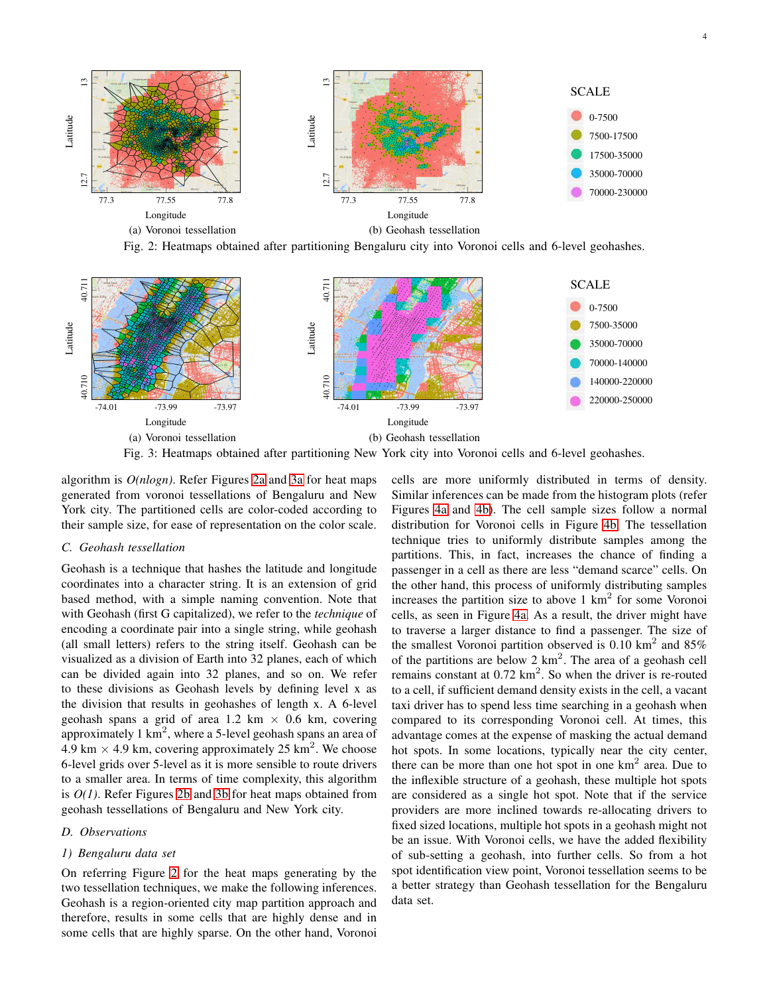<span id="page-3-0"></span>

Fig. 2: Heatmaps obtained after partitioning Bengaluru city into Voronoi cells and 6-level geohashes.

<span id="page-3-1"></span>

algorithm is *O(nlogn)*. Refer Figures [2a](#page-3-0) and [3a](#page-3-1) for heat maps generated from voronoi tessellations of Bengaluru and New York city. The partitioned cells are color-coded according to their sample size, for ease of representation on the color scale.

### *C. Geohash tessellation*

Geohash is a technique that hashes the latitude and longitude coordinates into a character string. It is an extension of grid based method, with a simple naming convention. Note that with Geohash (first G capitalized), we refer to the *technique* of encoding a coordinate pair into a single string, while geohash (all small letters) refers to the string itself. Geohash can be visualized as a division of Earth into 32 planes, each of which can be divided again into 32 planes, and so on. We refer to these divisions as Geohash levels by defining level x as the division that results in geohashes of length x. A 6-level geohash spans a grid of area 1.2 km  $\times$  0.6 km, covering approximately 1 km<sup>2</sup>, where a 5-level geohash spans an area of 4.9 km  $\times$  4.9 km, covering approximately 25 km<sup>2</sup>. We choose 6-level grids over 5-level as it is more sensible to route drivers to a smaller area. In terms of time complexity, this algorithm is *O(1)*. Refer Figures [2b](#page-3-0) and [3b](#page-3-1) for heat maps obtained from geohash tessellations of Bengaluru and New York city.

#### *D. Observations*

#### *1) Bengaluru data set*

On referring Figure [2](#page-3-0) for the heat maps generating by the two tessellation techniques, we make the following inferences. Geohash is a region-oriented city map partition approach and therefore, results in some cells that are highly dense and in some cells that are highly sparse. On the other hand, Voronoi cells are more uniformly distributed in terms of density. Similar inferences can be made from the histogram plots (refer Figures [4a](#page-4-1) and [4b\)](#page-4-1). The cell sample sizes follow a normal distribution for Voronoi cells in Figure [4b.](#page-4-1) The tessellation technique tries to uniformly distribute samples among the partitions. This, in fact, increases the chance of finding a passenger in a cell as there are less "demand scarce" cells. On the other hand, this process of uniformly distributing samples increases the partition size to above  $1 \text{ km}^2$  for some Voronoi cells, as seen in Figure [4a.](#page-4-1) As a result, the driver might have to traverse a larger distance to find a passenger. The size of the smallest Voronoi partition observed is 0.10  $km^2$  and 85% of the partitions are below 2  $km^2$ . The area of a geohash cell remains constant at  $0.72 \text{ km}^2$ . So when the driver is re-routed to a cell, if sufficient demand density exists in the cell, a vacant taxi driver has to spend less time searching in a geohash when compared to its corresponding Voronoi cell. At times, this advantage comes at the expense of masking the actual demand hot spots. In some locations, typically near the city center, there can be more than one hot spot in one  $km<sup>2</sup>$  area. Due to the inflexible structure of a geohash, these multiple hot spots are considered as a single hot spot. Note that if the service providers are more inclined towards re-allocating drivers to fixed sized locations, multiple hot spots in a geohash might not be an issue. With Voronoi cells, we have the added flexibility of sub-setting a geohash, into further cells. So from a hot spot identification view point, Voronoi tessellation seems to be a better strategy than Geohash tessellation for the Bengaluru data set.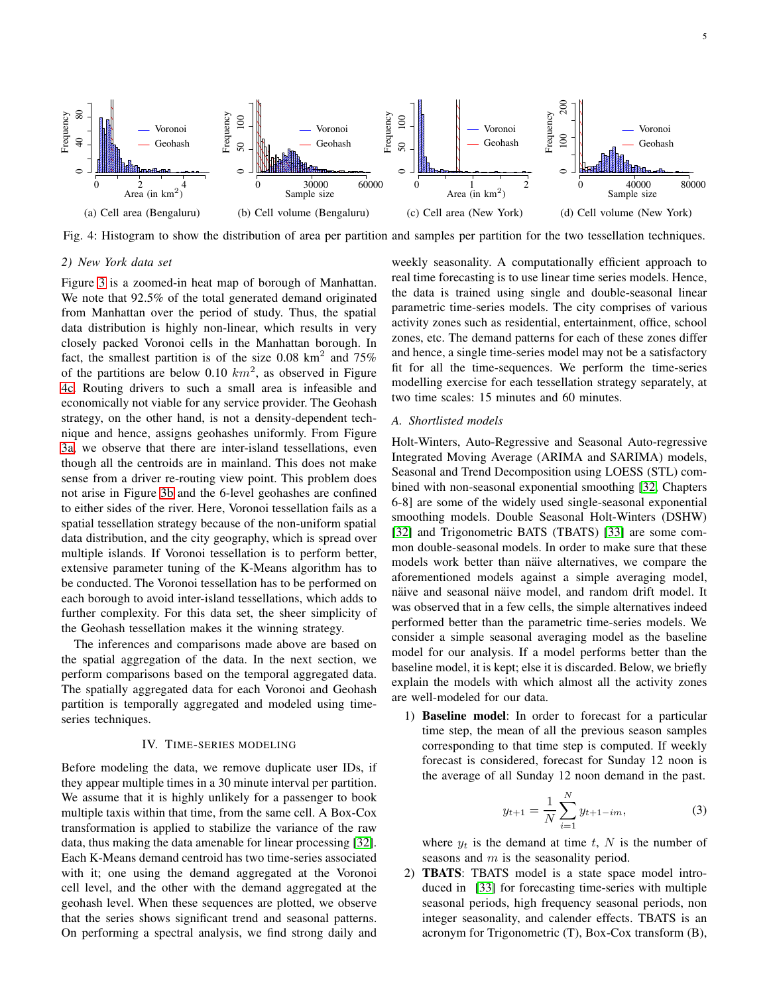<span id="page-4-1"></span>

Fig. 4: Histogram to show the distribution of area per partition and samples per partition for the two tessellation techniques.

## *2) New York data set*

Figure [3](#page-3-1) is a zoomed-in heat map of borough of Manhattan. We note that 92.5% of the total generated demand originated from Manhattan over the period of study. Thus, the spatial data distribution is highly non-linear, which results in very closely packed Voronoi cells in the Manhattan borough. In fact, the smallest partition is of the size 0.08 km<sup>2</sup> and 75% of the partitions are below 0.10  $km^2$ , as observed in Figure [4c.](#page-4-1) Routing drivers to such a small area is infeasible and economically not viable for any service provider. The Geohash strategy, on the other hand, is not a density-dependent technique and hence, assigns geohashes uniformly. From Figure [3a,](#page-3-1) we observe that there are inter-island tessellations, even though all the centroids are in mainland. This does not make sense from a driver re-routing view point. This problem does not arise in Figure [3b](#page-3-1) and the 6-level geohashes are confined to either sides of the river. Here, Voronoi tessellation fails as a spatial tessellation strategy because of the non-uniform spatial data distribution, and the city geography, which is spread over multiple islands. If Voronoi tessellation is to perform better, extensive parameter tuning of the K-Means algorithm has to be conducted. The Voronoi tessellation has to be performed on each borough to avoid inter-island tessellations, which adds to further complexity. For this data set, the sheer simplicity of the Geohash tessellation makes it the winning strategy.

The inferences and comparisons made above are based on the spatial aggregation of the data. In the next section, we perform comparisons based on the temporal aggregated data. The spatially aggregated data for each Voronoi and Geohash partition is temporally aggregated and modeled using timeseries techniques.

## IV. TIME-SERIES MODELING

<span id="page-4-0"></span>Before modeling the data, we remove duplicate user IDs, if they appear multiple times in a 30 minute interval per partition. We assume that it is highly unlikely for a passenger to book multiple taxis within that time, from the same cell. A Box-Cox transformation is applied to stabilize the variance of the raw data, thus making the data amenable for linear processing [\[32\]](#page-11-9). Each K-Means demand centroid has two time-series associated with it; one using the demand aggregated at the Voronoi cell level, and the other with the demand aggregated at the geohash level. When these sequences are plotted, we observe that the series shows significant trend and seasonal patterns. On performing a spectral analysis, we find strong daily and

weekly seasonality. A computationally efficient approach to real time forecasting is to use linear time series models. Hence, the data is trained using single and double-seasonal linear parametric time-series models. The city comprises of various activity zones such as residential, entertainment, office, school zones, etc. The demand patterns for each of these zones differ and hence, a single time-series model may not be a satisfactory fit for all the time-sequences. We perform the time-series modelling exercise for each tessellation strategy separately, at two time scales: 15 minutes and 60 minutes.

## <span id="page-4-2"></span>*A. Shortlisted models*

Holt-Winters, Auto-Regressive and Seasonal Auto-regressive Integrated Moving Average (ARIMA and SARIMA) models, Seasonal and Trend Decomposition using LOESS (STL) combined with non-seasonal exponential smoothing [\[32,](#page-11-9) Chapters 6-8] are some of the widely used single-seasonal exponential smoothing models. Double Seasonal Holt-Winters (DSHW) [\[32\]](#page-11-9) and Trigonometric BATS (TBATS) [\[33\]](#page-11-10) are some common double-seasonal models. In order to make sure that these models work better than näive alternatives, we compare the aforementioned models against a simple averaging model, näive and seasonal näive model, and random drift model. It was observed that in a few cells, the simple alternatives indeed performed better than the parametric time-series models. We consider a simple seasonal averaging model as the baseline model for our analysis. If a model performs better than the baseline model, it is kept; else it is discarded. Below, we briefly explain the models with which almost all the activity zones are well-modeled for our data.

1) Baseline model: In order to forecast for a particular time step, the mean of all the previous season samples corresponding to that time step is computed. If weekly forecast is considered, forecast for Sunday 12 noon is the average of all Sunday 12 noon demand in the past.

$$
y_{t+1} = \frac{1}{N} \sum_{i=1}^{N} y_{t+1-im},
$$
 (3)

where  $y_t$  is the demand at time t, N is the number of seasons and m is the seasonality period.

2) TBATS: TBATS model is a state space model introduced in [\[33\]](#page-11-10) for forecasting time-series with multiple seasonal periods, high frequency seasonal periods, non integer seasonality, and calender effects. TBATS is an acronym for Trigonometric (T), Box-Cox transform (B),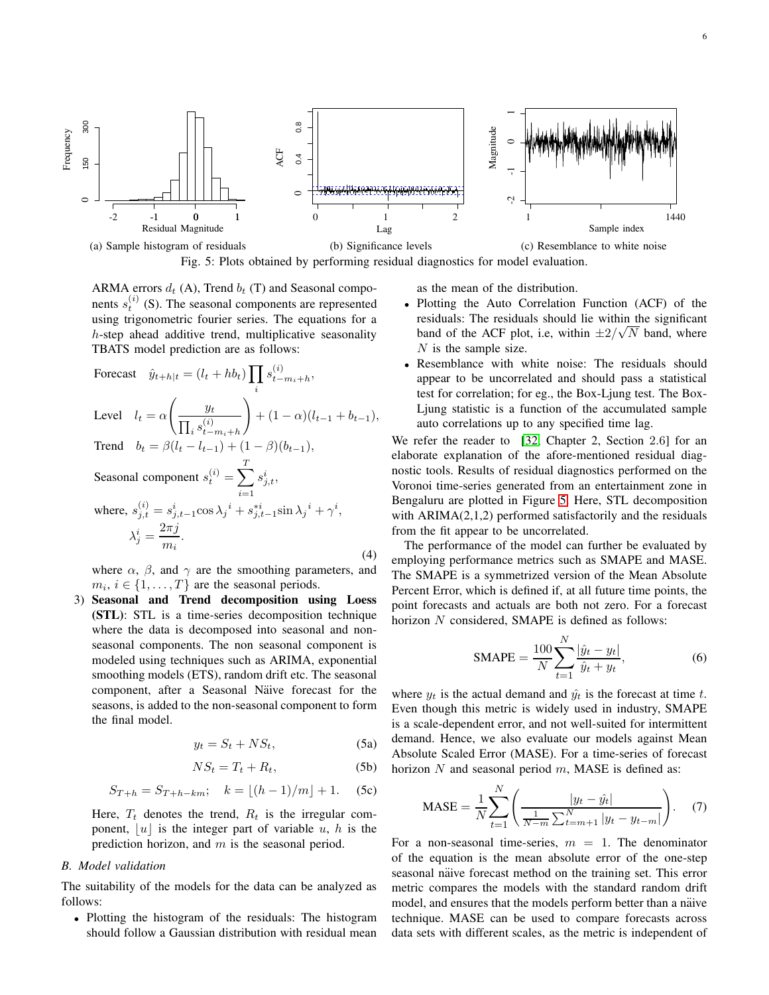<span id="page-5-0"></span>

Fig. 5: Plots obtained by performing residual diagnostics for model evaluation.

ARMA errors  $d_t$  (A), Trend  $b_t$  (T) and Seasonal components  $s_t^{(i)}$  (S). The seasonal components are represented using trigonometric fourier series. The equations for a h-step ahead additive trend, multiplicative seasonality TBATS model prediction are as follows:

Forecast

\n
$$
\hat{y}_{t+h|t} = (l_t + hb_t) \prod_i s_{t-m_i+h}^{(i)},
$$
\nLevel

\n
$$
l_t = \alpha \left( \frac{y_t}{\prod_i s_{t-m_i+h}^{(i)}} \right) + (1 - \alpha)(l_{t-1} + b_{t-1}),
$$
\nTrend

\n
$$
b_t = \beta (l_t - l_{t-1}) + (1 - \beta)(b_{t-1}),
$$
\nSeasonal component

\n
$$
s_t^{(i)} = \sum_{i=1}^T s_{j,t}^i,
$$
\nwhere,

\n
$$
s_{j,t}^{(i)} = s_{j,t-1}^i \cos \lambda_j^i + s_{j,t-1}^{*i} \sin \lambda_j^i + \gamma^i,
$$
\n
$$
\lambda_j^i = \frac{2\pi j}{m_i}.
$$
\n(4)

where  $\alpha$ ,  $\beta$ , and  $\gamma$  are the smoothing parameters, and  $m_i, i \in \{1, \ldots, T\}$  are the seasonal periods.

3) Seasonal and Trend decomposition using Loess (STL): STL is a time-series decomposition technique where the data is decomposed into seasonal and nonseasonal components. The non seasonal component is modeled using techniques such as ARIMA, exponential smoothing models (ETS), random drift etc. The seasonal component, after a Seasonal Näive forecast for the seasons, is added to the non-seasonal component to form the final model.

$$
y_t = S_t + NS_t,\t\t(5a)
$$

$$
NS_t = T_t + R_t, \tag{5b}
$$

$$
S_{T+h} = S_{T+h-km};
$$
  $k = \lfloor (h-1)/m \rfloor + 1.$  (5c)

Here,  $T_t$  denotes the trend,  $R_t$  is the irregular component,  $|u|$  is the integer part of variable u, h is the prediction horizon, and  $m$  is the seasonal period.

#### *B. Model validation*

The suitability of the models for the data can be analyzed as follows:

• Plotting the histogram of the residuals: The histogram should follow a Gaussian distribution with residual mean as the mean of the distribution.

- Plotting the Auto Correlation Function (ACF) of the residuals: The residuals should lie within the significant band of the ACF plot, i.e, within  $\pm 2/\sqrt{N}$  band, where  $N$  is the sample size.
- Resemblance with white noise: The residuals should appear to be uncorrelated and should pass a statistical test for correlation; for eg., the Box-Ljung test. The Box-Ljung statistic is a function of the accumulated sample auto correlations up to any specified time lag.

We refer the reader to [\[32,](#page-11-9) Chapter 2, Section 2.6] for an elaborate explanation of the afore-mentioned residual diagnostic tools. Results of residual diagnostics performed on the Voronoi time-series generated from an entertainment zone in Bengaluru are plotted in Figure [5.](#page-5-0) Here, STL decomposition with  $ARIMA(2,1,2)$  performed satisfactorily and the residuals from the fit appear to be uncorrelated.

The performance of the model can further be evaluated by employing performance metrics such as SMAPE and MASE. The SMAPE is a symmetrized version of the Mean Absolute Percent Error, which is defined if, at all future time points, the point forecasts and actuals are both not zero. For a forecast horizon N considered, SMAPE is defined as follows:

$$
\text{SMAPE} = \frac{100}{N} \sum_{t=1}^{N} \frac{|\hat{y}_t - y_t|}{\hat{y}_t + y_t},
$$
\n(6)

where  $y_t$  is the actual demand and  $\hat{y_t}$  is the forecast at time t. Even though this metric is widely used in industry, SMAPE is a scale-dependent error, and not well-suited for intermittent demand. Hence, we also evaluate our models against Mean Absolute Scaled Error (MASE). For a time-series of forecast horizon N and seasonal period  $m$ , MASE is defined as:

$$
\text{MASE} = \frac{1}{N} \sum_{t=1}^{N} \left( \frac{|y_t - \hat{y_t}|}{\frac{1}{N-m} \sum_{t=m+1}^{N} |y_t - y_{t-m}|} \right). \tag{7}
$$

For a non-seasonal time-series,  $m = 1$ . The denominator of the equation is the mean absolute error of the one-step seasonal näive forecast method on the training set. This error metric compares the models with the standard random drift model, and ensures that the models perform better than a näive technique. MASE can be used to compare forecasts across data sets with different scales, as the metric is independent of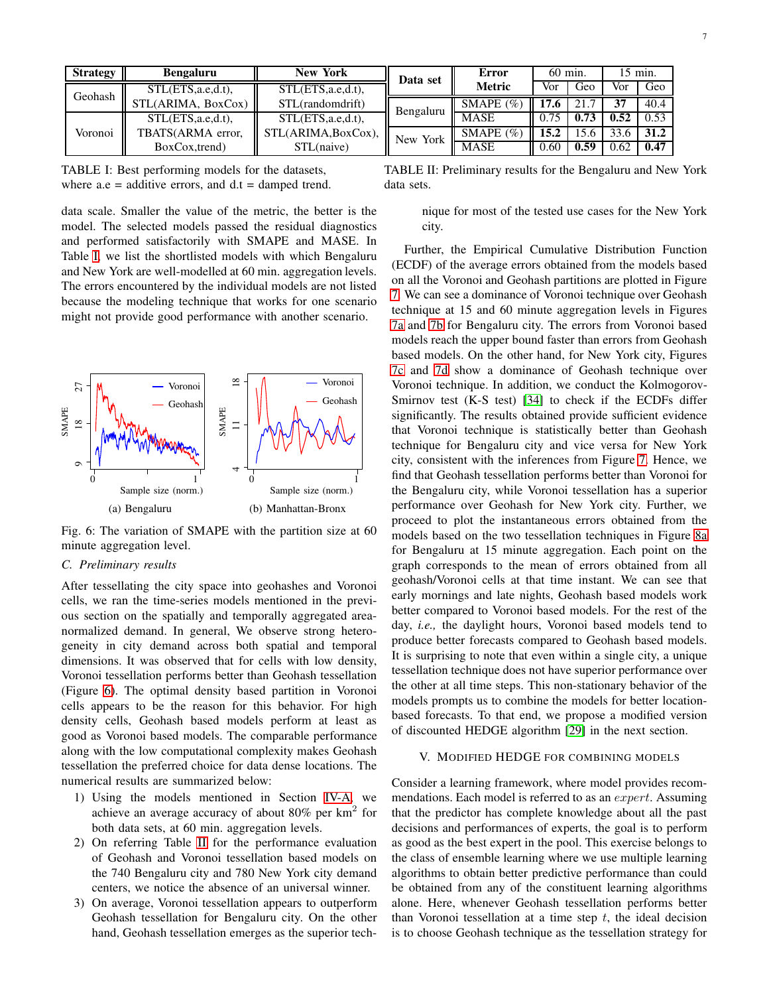<span id="page-6-1"></span>

| <b>Strategy</b> | <b>Bengaluru</b>      | <b>New York</b>       | Data set  | Error         | $60 \text{ min}$ . |      | 15 min. |      |
|-----------------|-----------------------|-----------------------|-----------|---------------|--------------------|------|---------|------|
| Geohash         | $STL(ETS, a.e.d.t)$ , | $STL(ETS, a.e.d.t)$ , |           | <b>Metric</b> | Vor                | Geo  | Vor     | Geo  |
|                 | STL(ARIMA, BoxCox)    | STL(randomdrift)      | Bengaluru | SMAPE $(\% )$ | 17.6               | 21.7 | 37      | 40.4 |
| Voronoi         | $STL(ETS, a.e.d.t)$ , | STL(ETS,a.e,d.t),     |           | <b>MASE</b>   | 0.75               | 0.73 | 0.52    | 0.53 |
|                 | TBATS(ARMA error,     | STL(ARIMA, BoxCox),   | New York  | SMAPE $(\% )$ | 15.2               | .5.6 | 33.6    | 31.2 |
|                 | BoxCox, trend)        | STL(naive)            |           | <b>MASE</b>   | 0.60               | 0.59 | 0.62    | 0.47 |

TABLE I: Best performing models for the datasets, where  $a.e = additive$  errors, and  $d.t = damped$  trend.

data scale. Smaller the value of the metric, the better is the model. The selected models passed the residual diagnostics and performed satisfactorily with SMAPE and MASE. In Table [I,](#page-6-1) we list the shortlisted models with which Bengaluru and New York are well-modelled at 60 min. aggregation levels. The errors encountered by the individual models are not listed because the modeling technique that works for one scenario might not provide good performance with another scenario.



<span id="page-6-2"></span>

Fig. 6: The variation of SMAPE with the partition size at 60 minute aggregation level.

### *C. Preliminary results*

After tessellating the city space into geohashes and Voronoi cells, we ran the time-series models mentioned in the previous section on the spatially and temporally aggregated areanormalized demand. In general, We observe strong heterogeneity in city demand across both spatial and temporal dimensions. It was observed that for cells with low density, Voronoi tessellation performs better than Geohash tessellation (Figure [6\)](#page-6-2). The optimal density based partition in Voronoi cells appears to be the reason for this behavior. For high density cells, Geohash based models perform at least as good as Voronoi based models. The comparable performance along with the low computational complexity makes Geohash tessellation the preferred choice for data dense locations. The numerical results are summarized below:

- 1) Using the models mentioned in Section [IV-A,](#page-4-2) we achieve an average accuracy of about 80% per  $km^2$  for both data sets, at 60 min. aggregation levels.
- 2) On referring Table [II](#page-6-1) for the performance evaluation of Geohash and Voronoi tessellation based models on the 740 Bengaluru city and 780 New York city demand centers, we notice the absence of an universal winner.
- 3) On average, Voronoi tessellation appears to outperform Geohash tessellation for Bengaluru city. On the other hand, Geohash tessellation emerges as the superior tech-

TABLE II: Preliminary results for the Bengaluru and New York data sets.

nique for most of the tested use cases for the New York city.

Further, the Empirical Cumulative Distribution Function (ECDF) of the average errors obtained from the models based on all the Voronoi and Geohash partitions are plotted in Figure [7.](#page-7-0) We can see a dominance of Voronoi technique over Geohash technique at 15 and 60 minute aggregation levels in Figures [7a](#page-7-0) and [7b](#page-7-0) for Bengaluru city. The errors from Voronoi based models reach the upper bound faster than errors from Geohash based models. On the other hand, for New York city, Figures [7c](#page-7-0) and [7d](#page-7-0) show a dominance of Geohash technique over Voronoi technique. In addition, we conduct the Kolmogorov-Smirnov test (K-S test) [\[34\]](#page-11-11) to check if the ECDFs differ significantly. The results obtained provide sufficient evidence that Voronoi technique is statistically better than Geohash technique for Bengaluru city and vice versa for New York city, consistent with the inferences from Figure [7.](#page-7-0) Hence, we find that Geohash tessellation performs better than Voronoi for the Bengaluru city, while Voronoi tessellation has a superior performance over Geohash for New York city. Further, we proceed to plot the instantaneous errors obtained from the models based on the two tessellation techniques in Figure [8a](#page-7-1) for Bengaluru at 15 minute aggregation. Each point on the graph corresponds to the mean of errors obtained from all geohash/Voronoi cells at that time instant. We can see that early mornings and late nights, Geohash based models work better compared to Voronoi based models. For the rest of the day, *i.e.,* the daylight hours, Voronoi based models tend to produce better forecasts compared to Geohash based models. It is surprising to note that even within a single city, a unique tessellation technique does not have superior performance over the other at all time steps. This non-stationary behavior of the models prompts us to combine the models for better locationbased forecasts. To that end, we propose a modified version of discounted HEDGE algorithm [\[29\]](#page-11-6) in the next section.

#### <span id="page-6-0"></span>V. MODIFIED HEDGE FOR COMBINING MODELS

Consider a learning framework, where model provides recommendations. Each model is referred to as an *expert*. Assuming that the predictor has complete knowledge about all the past decisions and performances of experts, the goal is to perform as good as the best expert in the pool. This exercise belongs to the class of ensemble learning where we use multiple learning algorithms to obtain better predictive performance than could be obtained from any of the constituent learning algorithms alone. Here, whenever Geohash tessellation performs better than Voronoi tessellation at a time step  $t$ , the ideal decision is to choose Geohash technique as the tessellation strategy for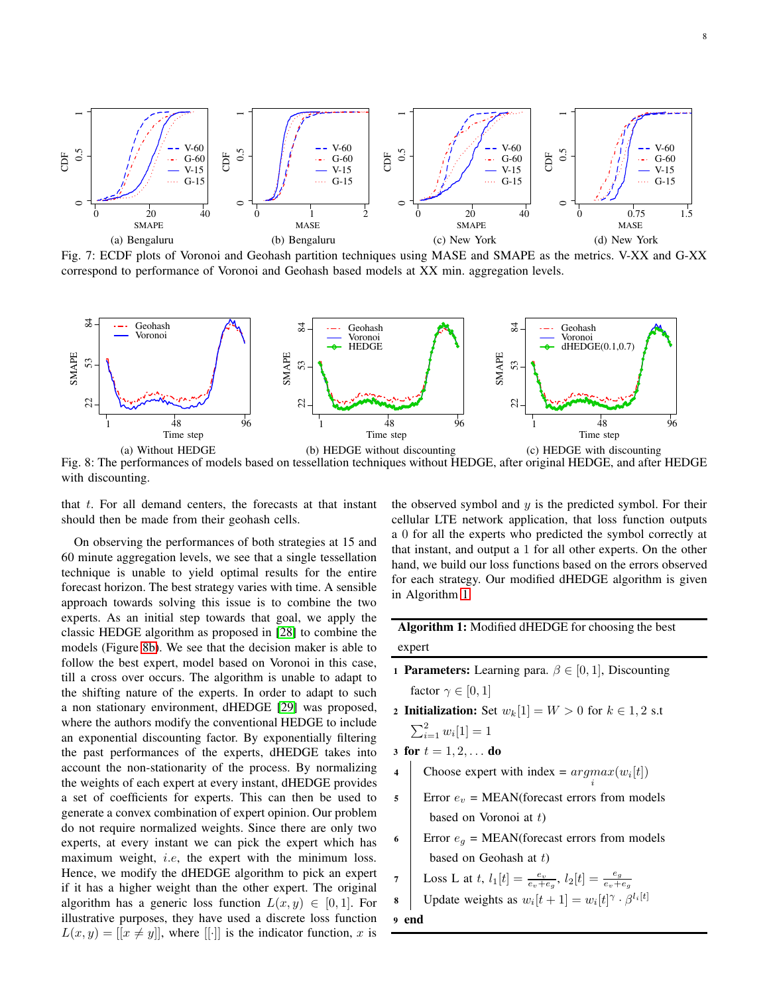<span id="page-7-0"></span>

<span id="page-7-1"></span>

Fig. 8: The performances of models based on tessellation techniques without HEDGE, after original HEDGE, and after HEDGE with discounting.

that  $t$ . For all demand centers, the forecasts at that instant should then be made from their geohash cells.

On observing the performances of both strategies at 15 and 60 minute aggregation levels, we see that a single tessellation technique is unable to yield optimal results for the entire forecast horizon. The best strategy varies with time. A sensible approach towards solving this issue is to combine the two experts. As an initial step towards that goal, we apply the classic HEDGE algorithm as proposed in [\[28\]](#page-11-5) to combine the models (Figure [8b\)](#page-7-1). We see that the decision maker is able to follow the best expert, model based on Voronoi in this case, till a cross over occurs. The algorithm is unable to adapt to the shifting nature of the experts. In order to adapt to such a non stationary environment, dHEDGE [\[29\]](#page-11-6) was proposed, where the authors modify the conventional HEDGE to include an exponential discounting factor. By exponentially filtering the past performances of the experts, dHEDGE takes into account the non-stationarity of the process. By normalizing the weights of each expert at every instant, dHEDGE provides a set of coefficients for experts. This can then be used to generate a convex combination of expert opinion. Our problem do not require normalized weights. Since there are only two experts, at every instant we can pick the expert which has maximum weight, *i.e*, the expert with the minimum loss. Hence, we modify the dHEDGE algorithm to pick an expert if it has a higher weight than the other expert. The original algorithm has a generic loss function  $L(x, y) \in [0, 1]$ . For illustrative purposes, they have used a discrete loss function  $L(x, y) = [[x \neq y]]$ , where [[·]] is the indicator function, x is the observed symbol and  $y$  is the predicted symbol. For their cellular LTE network application, that loss function outputs a 0 for all the experts who predicted the symbol correctly at that instant, and output a 1 for all other experts. On the other hand, we build our loss functions based on the errors observed for each strategy. Our modified dHEDGE algorithm is given in Algorithm [1.](#page-7-2)

Algorithm 1: Modified dHEDGE for choosing the best expert

- 1 **Parameters:** Learning para.  $\beta \in [0, 1]$ , Discounting factor  $\gamma \in [0, 1]$
- 2 Initialization: Set  $w_k[1] = W > 0$  for  $k \in 1, 2$  s.t  $\sum_{i=1}^{2} w_i[1] = 1$
- 3 for  $t = 1, 2, ...$  do
- 4 Choose expert with index =  $argmax(w_i[t])$ i
- $\mathsf{s}$  | Error  $e_v = \text{MEAN}$ (forecast errors from models based on Voronoi at  $t$ )
- 6 Error  $e_g$  = MEAN(forecast errors from models based on Geohash at  $t$ )

7 Loss L at t, 
$$
l_1[t] = \frac{e_v}{e_v + e_g}
$$
,  $l_2[t] = \frac{e_g}{e_v + e_g}$ 

**8** | Update weights as 
$$
w_i[t+1] = w_i[t]^\gamma \cdot \beta^{l_i[t]}
$$

<span id="page-7-2"></span>9 end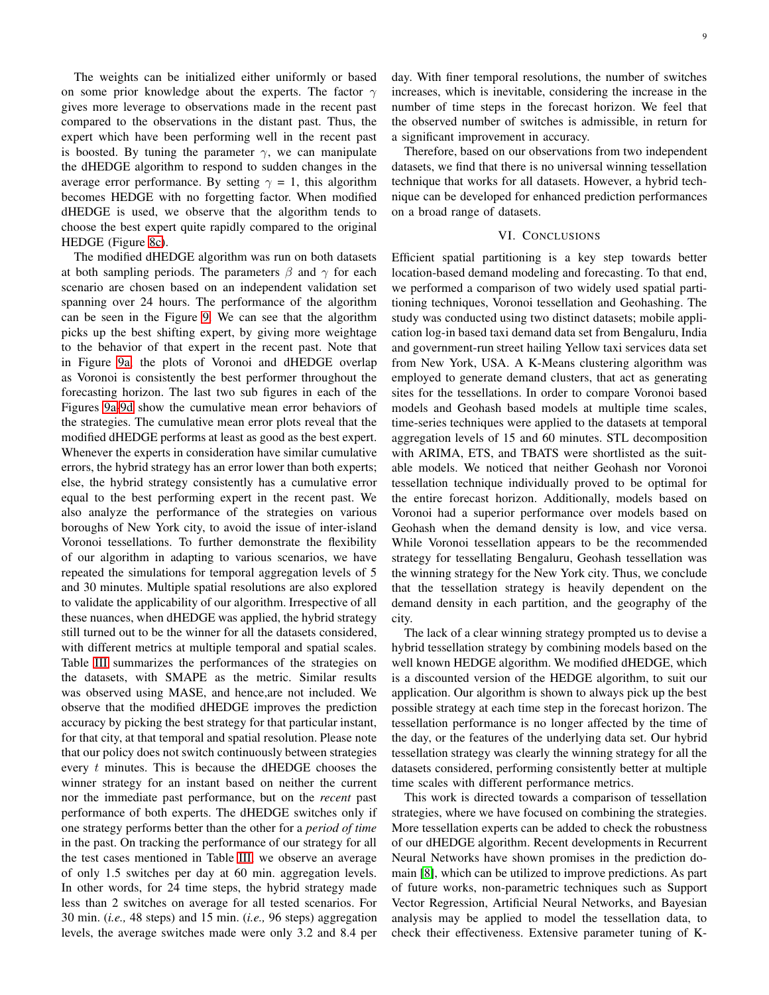The weights can be initialized either uniformly or based on some prior knowledge about the experts. The factor  $\gamma$ gives more leverage to observations made in the recent past compared to the observations in the distant past. Thus, the expert which have been performing well in the recent past is boosted. By tuning the parameter  $\gamma$ , we can manipulate the dHEDGE algorithm to respond to sudden changes in the average error performance. By setting  $\gamma = 1$ , this algorithm becomes HEDGE with no forgetting factor. When modified dHEDGE is used, we observe that the algorithm tends to choose the best expert quite rapidly compared to the original HEDGE (Figure [8c\)](#page-7-1).

The modified dHEDGE algorithm was run on both datasets at both sampling periods. The parameters  $\beta$  and  $\gamma$  for each scenario are chosen based on an independent validation set spanning over 24 hours. The performance of the algorithm can be seen in the Figure [9.](#page-9-0) We can see that the algorithm picks up the best shifting expert, by giving more weightage to the behavior of that expert in the recent past. Note that in Figure [9a,](#page-9-0) the plots of Voronoi and dHEDGE overlap as Voronoi is consistently the best performer throughout the forecasting horizon. The last two sub figures in each of the Figures [9a-9d](#page-9-0) show the cumulative mean error behaviors of the strategies. The cumulative mean error plots reveal that the modified dHEDGE performs at least as good as the best expert. Whenever the experts in consideration have similar cumulative errors, the hybrid strategy has an error lower than both experts; else, the hybrid strategy consistently has a cumulative error equal to the best performing expert in the recent past. We also analyze the performance of the strategies on various boroughs of New York city, to avoid the issue of inter-island Voronoi tessellations. To further demonstrate the flexibility of our algorithm in adapting to various scenarios, we have repeated the simulations for temporal aggregation levels of 5 and 30 minutes. Multiple spatial resolutions are also explored to validate the applicability of our algorithm. Irrespective of all these nuances, when dHEDGE was applied, the hybrid strategy still turned out to be the winner for all the datasets considered, with different metrics at multiple temporal and spatial scales. Table [III](#page-10-22) summarizes the performances of the strategies on the datasets, with SMAPE as the metric. Similar results was observed using MASE, and hence,are not included. We observe that the modified dHEDGE improves the prediction accuracy by picking the best strategy for that particular instant, for that city, at that temporal and spatial resolution. Please note that our policy does not switch continuously between strategies every  $t$  minutes. This is because the dHEDGE chooses the winner strategy for an instant based on neither the current nor the immediate past performance, but on the *recent* past performance of both experts. The dHEDGE switches only if one strategy performs better than the other for a *period of time* in the past. On tracking the performance of our strategy for all the test cases mentioned in Table [III,](#page-10-22) we observe an average of only 1.5 switches per day at 60 min. aggregation levels. In other words, for 24 time steps, the hybrid strategy made less than 2 switches on average for all tested scenarios. For 30 min. (*i.e.,* 48 steps) and 15 min. (*i.e.,* 96 steps) aggregation levels, the average switches made were only 3.2 and 8.4 per

day. With finer temporal resolutions, the number of switches increases, which is inevitable, considering the increase in the number of time steps in the forecast horizon. We feel that the observed number of switches is admissible, in return for a significant improvement in accuracy.

Therefore, based on our observations from two independent datasets, we find that there is no universal winning tessellation technique that works for all datasets. However, a hybrid technique can be developed for enhanced prediction performances on a broad range of datasets.

## VI. CONCLUSIONS

<span id="page-8-0"></span>Efficient spatial partitioning is a key step towards better location-based demand modeling and forecasting. To that end, we performed a comparison of two widely used spatial partitioning techniques, Voronoi tessellation and Geohashing. The study was conducted using two distinct datasets; mobile application log-in based taxi demand data set from Bengaluru, India and government-run street hailing Yellow taxi services data set from New York, USA. A K-Means clustering algorithm was employed to generate demand clusters, that act as generating sites for the tessellations. In order to compare Voronoi based models and Geohash based models at multiple time scales, time-series techniques were applied to the datasets at temporal aggregation levels of 15 and 60 minutes. STL decomposition with ARIMA, ETS, and TBATS were shortlisted as the suitable models. We noticed that neither Geohash nor Voronoi tessellation technique individually proved to be optimal for the entire forecast horizon. Additionally, models based on Voronoi had a superior performance over models based on Geohash when the demand density is low, and vice versa. While Voronoi tessellation appears to be the recommended strategy for tessellating Bengaluru, Geohash tessellation was the winning strategy for the New York city. Thus, we conclude that the tessellation strategy is heavily dependent on the demand density in each partition, and the geography of the city.

The lack of a clear winning strategy prompted us to devise a hybrid tessellation strategy by combining models based on the well known HEDGE algorithm. We modified dHEDGE, which is a discounted version of the HEDGE algorithm, to suit our application. Our algorithm is shown to always pick up the best possible strategy at each time step in the forecast horizon. The tessellation performance is no longer affected by the time of the day, or the features of the underlying data set. Our hybrid tessellation strategy was clearly the winning strategy for all the datasets considered, performing consistently better at multiple time scales with different performance metrics.

This work is directed towards a comparison of tessellation strategies, where we have focused on combining the strategies. More tessellation experts can be added to check the robustness of our dHEDGE algorithm. Recent developments in Recurrent Neural Networks have shown promises in the prediction domain [\[8\]](#page-10-7), which can be utilized to improve predictions. As part of future works, non-parametric techniques such as Support Vector Regression, Artificial Neural Networks, and Bayesian analysis may be applied to model the tessellation data, to check their effectiveness. Extensive parameter tuning of K-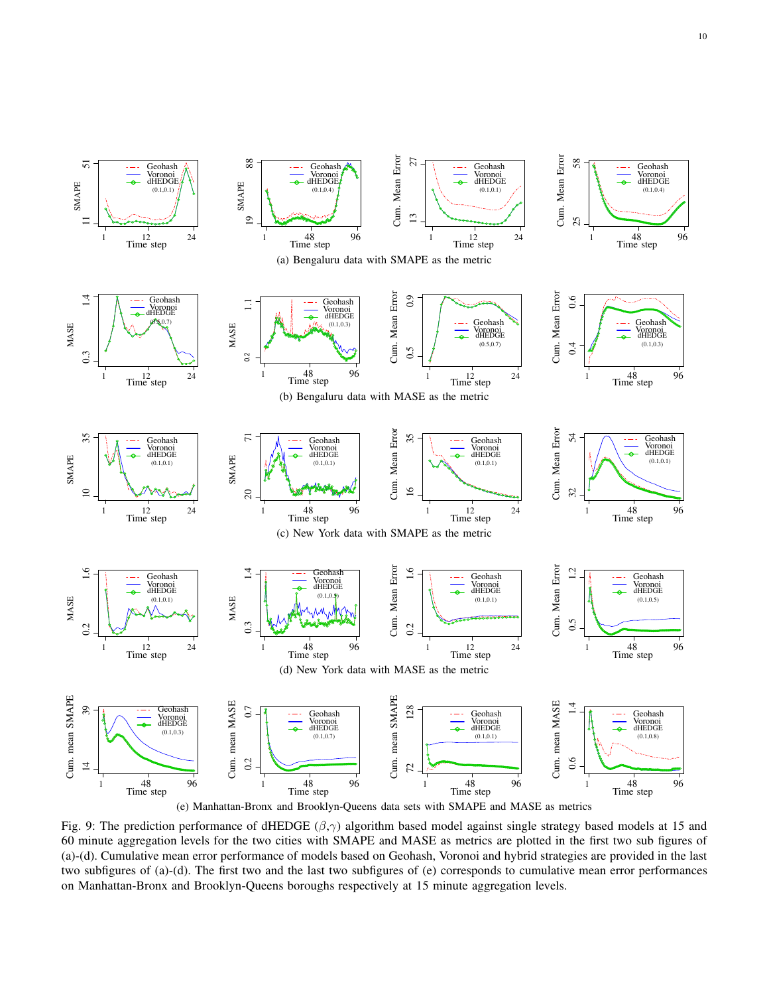<span id="page-9-0"></span>

Fig. 9: The prediction performance of dHEDGE  $(\beta, \gamma)$  algorithm based model against single strategy based models at 15 and 60 minute aggregation levels for the two cities with SMAPE and MASE as metrics are plotted in the first two sub figures of (a)-(d). Cumulative mean error performance of models based on Geohash, Voronoi and hybrid strategies are provided in the last two subfigures of (a)-(d). The first two and the last two subfigures of (e) corresponds to cumulative mean error performances on Manhattan-Bronx and Brooklyn-Queens boroughs respectively at 15 minute aggregation levels.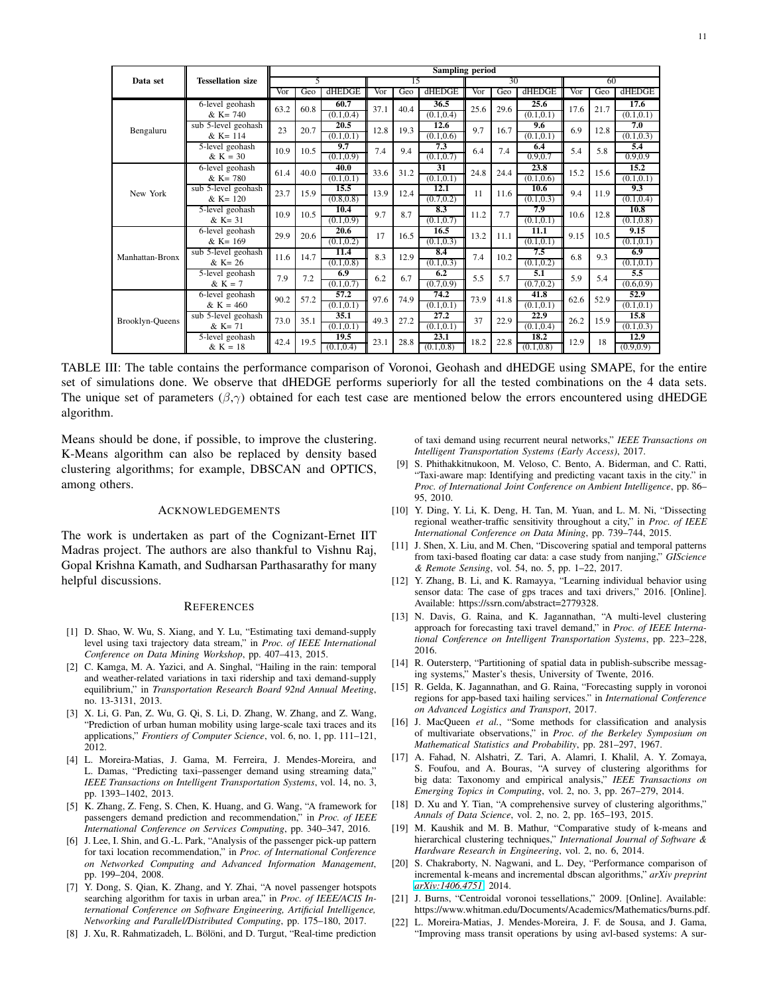<span id="page-10-22"></span>

|                 | <b>Tessellation size</b>              | <b>Sampling period</b>  |              |                    |           |              |                    |              |      |                    |      |              |                    |
|-----------------|---------------------------------------|-------------------------|--------------|--------------------|-----------|--------------|--------------------|--------------|------|--------------------|------|--------------|--------------------|
| Data set        |                                       | 5                       |              | 15                 |           | 30           |                    |              | 60   |                    |      |              |                    |
|                 |                                       | Vor                     | Geo          | dHEDGE             | Vor       | Geo          | dHEDGE             | Vor          | Geo  | dHEDGE             | Vor  | Geo          | dHEDGE             |
|                 | 6-level geohash                       | 63.2                    | 60.8         | 60.7               | 37.1      | 40.4         | 36.5               | 25.6         | 29.6 | 25.6               | 17.6 | 21.7         | 17.6               |
|                 | $& K = 740$                           |                         |              | (0.1.0.4)          |           |              | (0.1, 0.4)         |              |      | (0.1.0.1)          |      |              | (0.1, 0.1)         |
| Bengaluru       | sub 5-level geohash                   | 23                      | 20.7         | 20.5               | 12.8      | 19.3         | 12.6               | 9.7          | 16.7 | 9.6                | 6.9  | 12.8         | 7.0                |
|                 | $& K=114$                             |                         |              | (0.1, 0.1)         |           |              | (0.1, 0.6)         |              |      | (0.1, 0.1)         |      |              | (0.1, 0.3)         |
|                 | 5-level geohash                       | 10.9                    | 10.5         | 9.7                | 7.4       | 9.4          | 7.3                | 6.4          | 7.4  | 6.4                | 5.4  | 5.8          | 5.4                |
|                 | $& K = 30$                            |                         |              | (0.1, 0.9)         |           |              | (0.1, 0.7)         |              |      | 0.9,0.7            |      |              | 0.9,0.9            |
|                 | 6-level geohash                       | 61.4                    | 40.0         | 40.0               | 33.6      | 31.2         | 31                 | 24.8         | 24.4 | 23.8               | 15.2 | 15.6         | 15.2               |
|                 | $& K = 780$                           |                         |              | (0.1, 0.1)         |           |              | (0.1, 0.1)         |              |      | (0.1, 0.6)         |      |              | (0.1, 0.1)         |
| New York        | sub 5-level geohash                   | 23.7                    | 15.9         | 15.5               | 13.9      | 12.4         | 12.1               | 11           | 11.6 | 10.6               | 9.4  | 11.9         | 9.3                |
|                 | $& K = 120$                           |                         |              | (0.8, 0.8)         |           |              | (0.7, 0.2)         |              |      | (0.1, 0.3)         |      |              | (0.1, 0.4)         |
|                 | 5-level geohash                       | 10.9<br>29.9            | 10.5<br>20.6 | 10.4               | 9.7<br>17 | 8.7<br>16.5  | 8.3                | 11.2<br>13.2 | 7.7  | 7.9                | 10.6 | 12.8<br>10.5 | 10.8               |
|                 | $& K = 31$                            |                         |              | (0.1, 0.9)         |           |              | (0.1, 0.7)         |              |      | (0.1, 0.1)         |      |              | (0.1, 0.8)         |
|                 | 6-level geohash<br>$& K = 169$        |                         |              | 20.6<br>(0.1, 0.2) |           |              | 16.5<br>(0.1, 0.3) |              | 11.1 | 11.1<br>(0.1, 0.1) | 9.15 |              | 9.15<br>(0.1, 0.1) |
|                 |                                       |                         |              | 11.4               |           |              | 8.4                |              |      | 7.5                |      |              | 6.9                |
| Manhattan-Bronx | sub 5-level geohash<br>$& K = 26$     | 11.6                    | 14.7         | (0.1, 0.8)         | 8.3       | 12.9         | (0.1, 0.3)         | 7.4          | 10.2 | (0.1, 0.2)         | 6.8  | 9.3          | (0.1, 0.1)         |
|                 | 5-level geohash                       |                         |              | 6.9                |           |              | 6.2                |              |      | 5.1                |      |              | 5.5                |
|                 | & $K = 7$                             | 7.9                     | 7.2          | (0.1, 0.7)         | 6.2       | 6.7          | (0.7, 0.9)         | 5.5          | 5.7  | (0.7, 0.2)         | 5.9  | 5.4          | (0.6, 0.9)         |
|                 |                                       | 6-level geohash<br>90.2 | 57.2         | 57.2               |           | 97.6<br>74.9 | 74.2               | 73.9         | 41.8 | 41.8               | 62.6 | 52.9         | 52.9               |
|                 | $& K = 460$                           |                         |              | (0.1, 0.1)         |           |              | (0.1, 0.1)         |              |      | (0.1, 0.1)         |      |              | (0.1, 0.1)         |
|                 | sub 5-level geohash                   | 73.0                    | 35.1         | 35.1               |           | 27.2         | 27.2               | 37           | 22.9 | 22.9               | 26.2 | 15.9         | 15.8               |
| Brooklyn-Queens | $& K = 71$                            |                         |              | (0.1, 0.1)         | 49.3      |              | (0.1, 0.1)         |              |      | (0.1, 0.4)         |      |              | (0.1, 0.3)         |
|                 | 5-level geohash<br>42.4<br>$& K = 18$ |                         | 19.5         |                    |           | 23.1         |                    |              | 18.2 |                    |      | 12.9         |                    |
|                 |                                       |                         | 19.5         | (0.1, 0.4)         | 23.1      | 28.8         | (0.1, 0.8)         | 18.2         | 22.8 | (0.1, 0.8)         | 12.9 | 18           | (0.9, 0.9)         |

TABLE III: The table contains the performance comparison of Voronoi, Geohash and dHEDGE using SMAPE, for the entire set of simulations done. We observe that dHEDGE performs superiorly for all the tested combinations on the 4 data sets. The unique set of parameters  $(\beta, \gamma)$  obtained for each test case are mentioned below the errors encountered using dHEDGE algorithm.

Means should be done, if possible, to improve the clustering. K-Means algorithm can also be replaced by density based clustering algorithms; for example, DBSCAN and OPTICS, among others.

#### ACKNOWLEDGEMENTS

The work is undertaken as part of the Cognizant-Ernet IIT Madras project. The authors are also thankful to Vishnu Raj, Gopal Krishna Kamath, and Sudharsan Parthasarathy for many helpful discussions.

#### **REFERENCES**

- <span id="page-10-0"></span>[1] D. Shao, W. Wu, S. Xiang, and Y. Lu, "Estimating taxi demand-supply level using taxi trajectory data stream," in *Proc. of IEEE International Conference on Data Mining Workshop*, pp. 407–413, 2015.
- <span id="page-10-1"></span>[2] C. Kamga, M. A. Yazici, and A. Singhal, "Hailing in the rain: temporal and weather-related variations in taxi ridership and taxi demand-supply equilibrium," in *Transportation Research Board 92nd Annual Meeting*, no. 13-3131, 2013.
- <span id="page-10-2"></span>[3] X. Li, G. Pan, Z. Wu, G. Qi, S. Li, D. Zhang, W. Zhang, and Z. Wang, "Prediction of urban human mobility using large-scale taxi traces and its applications," *Frontiers of Computer Science*, vol. 6, no. 1, pp. 111–121, 2012.
- <span id="page-10-3"></span>[4] L. Moreira-Matias, J. Gama, M. Ferreira, J. Mendes-Moreira, and L. Damas, "Predicting taxi–passenger demand using streaming data," *IEEE Transactions on Intelligent Transportation Systems*, vol. 14, no. 3, pp. 1393–1402, 2013.
- <span id="page-10-4"></span>[5] K. Zhang, Z. Feng, S. Chen, K. Huang, and G. Wang, "A framework for passengers demand prediction and recommendation," in *Proc. of IEEE International Conference on Services Computing*, pp. 340–347, 2016.
- <span id="page-10-5"></span>[6] J. Lee, I. Shin, and G.-L. Park, "Analysis of the passenger pick-up pattern for taxi location recommendation," in *Proc. of International Conference on Networked Computing and Advanced Information Management*, pp. 199–204, 2008.
- <span id="page-10-6"></span>[7] Y. Dong, S. Qian, K. Zhang, and Y. Zhai, "A novel passenger hotspots searching algorithm for taxis in urban area," in *Proc. of IEEE/ACIS International Conference on Software Engineering, Artificial Intelligence, Networking and Parallel/Distributed Computing*, pp. 175–180, 2017.
- <span id="page-10-7"></span>[8] J. Xu, R. Rahmatizadeh, L. Bölöni, and D. Turgut, "Real-time prediction

of taxi demand using recurrent neural networks," *IEEE Transactions on Intelligent Transportation Systems (Early Access)*, 2017.

- <span id="page-10-8"></span>[9] S. Phithakkitnukoon, M. Veloso, C. Bento, A. Biderman, and C. Ratti, "Taxi-aware map: Identifying and predicting vacant taxis in the city." in *Proc. of International Joint Conference on Ambient Intelligence*, pp. 86– 95, 2010.
- <span id="page-10-9"></span>[10] Y. Ding, Y. Li, K. Deng, H. Tan, M. Yuan, and L. M. Ni, "Dissecting regional weather-traffic sensitivity throughout a city," in *Proc. of IEEE International Conference on Data Mining*, pp. 739–744, 2015.
- <span id="page-10-10"></span>[11] J. Shen, X. Liu, and M. Chen, "Discovering spatial and temporal patterns from taxi-based floating car data: a case study from nanjing," *GIScience & Remote Sensing*, vol. 54, no. 5, pp. 1–22, 2017.
- <span id="page-10-11"></span>[12] Y. Zhang, B. Li, and K. Ramayya, "Learning individual behavior using sensor data: The case of gps traces and taxi drivers," 2016. [Online]. Available: https://ssrn.com/abstract=2779328.
- <span id="page-10-12"></span>[13] N. Davis, G. Raina, and K. Jagannathan, "A multi-level clustering approach for forecasting taxi travel demand," in *Proc. of IEEE International Conference on Intelligent Transportation Systems*, pp. 223–228, 2016.
- <span id="page-10-13"></span>[14] R. Outersterp, "Partitioning of spatial data in publish-subscribe messaging systems," Master's thesis, University of Twente, 2016.
- <span id="page-10-14"></span>[15] R. Gelda, K. Jagannathan, and G. Raina, "Forecasting supply in voronoi regions for app-based taxi hailing services." in *International Conference on Advanced Logistics and Transport*, 2017.
- <span id="page-10-15"></span>[16] J. MacQueen *et al.*, "Some methods for classification and analysis of multivariate observations," in *Proc. of the Berkeley Symposium on Mathematical Statistics and Probability*, pp. 281–297, 1967.
- <span id="page-10-16"></span>[17] A. Fahad, N. Alshatri, Z. Tari, A. Alamri, I. Khalil, A. Y. Zomaya, S. Foufou, and A. Bouras, "A survey of clustering algorithms for big data: Taxonomy and empirical analysis," *IEEE Transactions on Emerging Topics in Computing*, vol. 2, no. 3, pp. 267–279, 2014.
- <span id="page-10-17"></span>[18] D. Xu and Y. Tian, "A comprehensive survey of clustering algorithms," *Annals of Data Science*, vol. 2, no. 2, pp. 165–193, 2015.
- <span id="page-10-19"></span>[19] M. Kaushik and M. B. Mathur, "Comparative study of k-means and hierarchical clustering techniques," *International Journal of Software & Hardware Research in Engineering*, vol. 2, no. 6, 2014.
- <span id="page-10-18"></span>[20] S. Chakraborty, N. Nagwani, and L. Dey, "Performance comparison of incremental k-means and incremental dbscan algorithms," *arXiv preprint [arXiv:1406.4751](http://arxiv.org/abs/1406.4751)*, 2014.
- <span id="page-10-20"></span>[21] J. Burns, "Centroidal voronoi tessellations," 2009. [Online]. Available: https://www.whitman.edu/Documents/Academics/Mathematics/burns.pdf.
- <span id="page-10-21"></span>[22] L. Moreira-Matias, J. Mendes-Moreira, J. F. de Sousa, and J. Gama, "Improving mass transit operations by using avl-based systems: A sur-